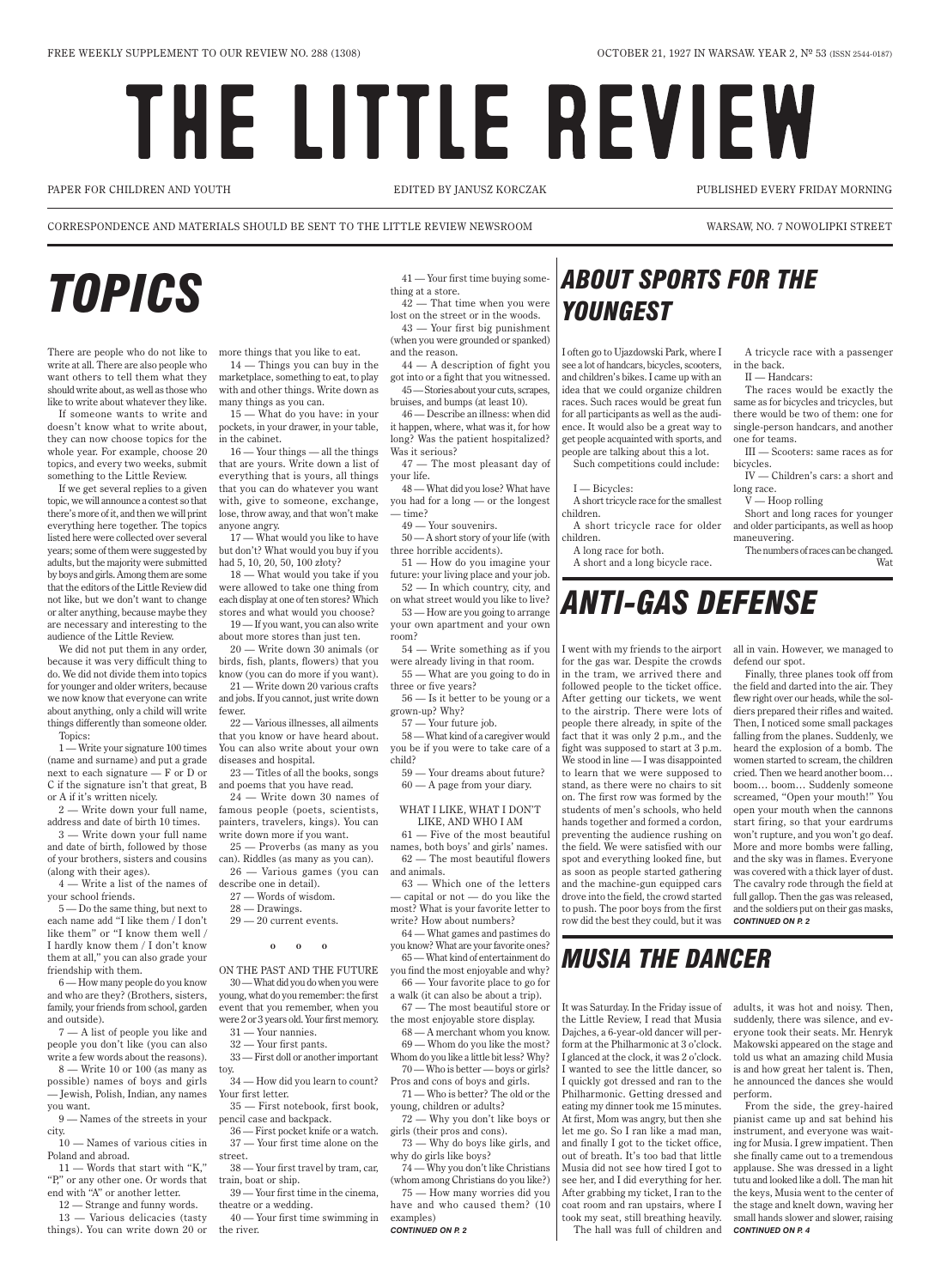# THE LITTLE REVIEW

I often go to Ujazdowski Park, where I see a lot of handcars, bicycles, scooters, in the back. and children's bikes. I came up with an idea that we could organize children races. Such races would be great fun for all participants as well as the audience. It would also be a great way to get people acquainted with sports, and people are talking about this a lot.

Such competitions could include:

### I — Bicycles:

A short tricycle race for the smallest

children.

A short tricycle race for older

children. A long race for both.

A short and a long bicycle race.

A tricycle race with a passenger

II — Handcars:

The races would be exactly the same as for bicycles and tricycles, but there would be two of them: one for single-person handcars, and another one for teams.

III — Scooters: same races as for bicycles.

IV — Children's cars: a short and long race.

 $V -$  Hoop rolling

Short and long races for younger and older participants, as well as hoop maneuvering.

The numbers of races can be changed. Wat

There are people who do not like to more things that you like to eat. write at all. There are also people who want others to tell them what they should write about, as well as those who like to write about whatever they like.

If someone wants to write and doesn't know what to write about, they can now choose topics for the whole year. For example, choose 20 topics, and every two weeks, submit something to the Little Review.

If we get several replies to a given topic, we will announce a contest so that there's more of it, and then we will print everything here together. The topics listed here were collected over several years; some of them were suggested by adults, but the majority were submitted by boys and girls. Among them are some that the editors of the Little Review did not like, but we don't want to change or alter anything, because maybe they are necessary and interesting to the audience of the Little Review.

We did not put them in any order, because it was very difficult thing to do. We did not divide them into topics for younger and older writers, because we now know that everyone can write about anything, only a child will write fewer. things differently than someone older. Topics:

1 — Write your signature 100 times (name and surname) and put a grade next to each signature — F or D or C if the signature isn't that great, B or A if it's written nicely.

2 — Write down your full name, address and date of birth 10 times.

3 — Write down your full name and date of birth, followed by those (along with their ages).

4 — Write a list of the names of describe one in detail). your school friends.

5 — Do the same thing, but next to each name add "I like them / I don't like them" or "I know them well /

I hardly know them / I don't know them at all," you can also grade your friendship with them.

6 — How many people do you know and who are they? (Brothers, sisters, family, your friends from school, garden and outside).

7 — A list of people you like and people you don't like (you can also write a few words about the reasons).

8 — Write 10 or 100 (as many as possible) names of boys and girls — Jewish, Polish, Indian, any names you want.

9 — Names of the streets in your city.

10 — Names of various cities in Poland and abroad.

11 — Words that start with "K," "P," or any other one. Or words that end with "A" or another letter.

12 — Strange and funny words.

13 — Various delicacies (tasty things). You can write down 20 or

#### WHAT I LIKE, WHAT I DON'T like, and who i am

14 — Things you can buy in the marketplace, something to eat, to play with and other things. Write down as many things as you can.

15 — What do you have: in your pockets, in your drawer, in your table, in the cabinet.

of your brothers, sisters and cousins can). Riddles (as many as you can). 25 — Proverbs (as many as you 26 — Various games (you can

16 — Your things — all the things that are yours. Write down a list of everything that is yours, all things that you can do whatever you want with, give to someone, exchange, lose, throw away, and that won't make anyone angry.

### *ABOUT SPORTS FOR THE*<br>*thing at a store.*<br> $41$  — Your first time buying some-<br> $42$  — That time when you were *youngest*

17 — What would you like to have but don't? What would you buy if you had 5, 10, 20, 50, 100 złoty?

18 — What would you take if you were allowed to take one thing from each display at one of ten stores? Which stores and what would you choose?

19 — If you want, you can also write about more stores than just ten.

20 — Write down 30 animals (or birds, fish, plants, flowers) that you know (you can do more if you want).

21 — Write down 20 various crafts and jobs. If you cannot, just write down

22 — Various illnesses, all ailments that you know or have heard about. You can also write about your own you be if you were to take care of a diseases and hospital.

23 — Titles of all the books, songs and poems that you have read.

24 — Write down 30 names of famous people (poets, scientists, painters, travelers, kings). You can write down more if you want.

27 — Words of wisdom.

- 28 Drawings.
- 29 20 current events.

**o o o**

On the past and the future 30 —What did you do when you were young, what do you remember: the first event that you remember, when you were 2 or 3 years old. Your first memory.

31 — Your nannies.

32 — Your first pants.

33 — First doll or another important

toy.

34 — How did you learn to count? Your first letter.

35 — First notebook, first book, pencil case and backpack.

36 — First pocket knife or a watch. 37 — Your first time alone on the street.

38 — Your first travel by tram, car, train, boat or ship.

39 — Your first time in the cinema, theatre or a wedding.

40 — Your first time swimming in the river.

41 — Your first time buying something at a store.

42 — That time when you were lost on the street or in the woods. 43 — Your first big punishment

(when you were grounded or spanked) and the reason.

44 — A description of fight you got into or a fight that you witnessed. 45 —Stories about your cuts, scrapes, bruises, and bumps (at least 10).

46 — Describe an illness: when did it happen, where, what was it, for how long? Was the patient hospitalized? Was it serious?

47 — The most pleasant day of your life.

48 — What did you lose? What have you had for a long — or the longest — time?

49 — Your souvenirs.

50 — A short story of your life (with three horrible accidents).

51 — How do you imagine your future: your living place and your job.

52 — In which country, city, and on what street would you like to live?

53 — How are you going to arrange your own apartment and your own

room?

54 — Write something as if you were already living in that room.

55 — What are you going to do in three or five years?

56 — Is it better to be young or a grown-up? Why?

57 — Your future job.

58 — What kind of a caregiver would child?

59 — Your dreams about future? 60 — A page from your diary.

61 — Five of the most beautiful names, both boys' and girls' names. 62 — The most beautiful flowers and animals.

63 — Which one of the letters — capital or not — do you like the most? What is your favorite letter to write? How about numbers?

64 — What games and pastimes do

you know? What are your favorite ones? 65 — What kind of entertainment do you find the most enjoyable and why? 66 — Your favorite place to go for a walk (it can also be about a trip).

67 — The most beautiful store or the most enjoyable store display. 68 — A merchant whom you know.

69 — Whom do you like the most? Whom do you like a little bit less? Why?

70 — Who is better — boys or girls? Pros and cons of boys and girls.

71 — Who is better? The old or the young, children or adults?

72 — Why you don't like boys or girls (their pros and cons).

73 — Why do boys like girls, and why do girls like boys?

74 — Why you don't like Christians (whom among Christians do you like?) 75 — How many worries did you have and who caused them? (10 examples)

*continued on p. 2*

I went with my friends to the airport all in vain. However, we managed to for the gas war. Despite the crowds in the tram, we arrived there and followed people to the ticket office. After getting our tickets, we went to the airstrip. There were lots of people there already, in spite of the fact that it was only 2 p.m., and the fight was supposed to start at 3 p.m. We stood in line — I was disappointed to learn that we were supposed to stand, as there were no chairs to sit on. The first row was formed by the students of men's schools, who held hands together and formed a cordon, preventing the audience rushing on the field. We were satisfied with our spot and everything looked fine, but as soon as people started gathering and the machine-gun equipped cars drove into the field, the crowd started to push. The poor boys from the first row did the best they could, but it was

defend our spot.

Finally, three planes took off from the field and darted into the air. They flew right over our heads, while the soldiers prepared their rifles and waited. Then, I noticed some small packages falling from the planes. Suddenly, we heard the explosion of a bomb. The women started to scream, the children cried. Then we heard another boom… boom… boom… Suddenly someone screamed, "Open your mouth!" You open your mouth when the cannons start firing, so that your eardrums won't rupture, and you won't go deaf. More and more bombs were falling, and the sky was in flames. Everyone was covered with a thick layer of dust. The cavalry rode through the field at full gallop. Then the gas was released, and the soldiers put on their gas masks, *continued on p. 2*

### *ANTI-GAS DEFENSE*

It was Saturday. In the Friday issue of the Little Review, I read that Musia Dajches, a 6-year-old dancer will perform at the Philharmonic at 3 o'clock. I glanced at the clock, it was 2 o'clock. I wanted to see the little dancer, so I quickly got dressed and ran to the Philharmonic. Getting dressed and eating my dinner took me 15 minutes. At first, Mom was angry, but then she let me go. So I ran like a mad man, and finally I got to the ticket office, out of breath. It's too bad that little Musia did not see how tired I got to see her, and I did everything for her. After grabbing my ticket, I ran to the coat room and ran upstairs, where I took my seat, still breathing heavily. The hall was full of children and

adults, it was hot and noisy. Then, suddenly, there was silence, and everyone took their seats. Mr. Henryk Makowski appeared on the stage and told us what an amazing child Musia is and how great her talent is. Then, he announced the dances she would perform.

From the side, the grey-haired pianist came up and sat behind his instrument, and everyone was waiting for Musia. I grew impatient. Then she finally came out to a tremendous applause. She was dressed in a light tutu and looked like a doll. The man hit the keys, Musia went to the center of the stage and knelt down, waving her small hands slower and slower, raising *continued on p. 4*

### *Musia the dancer*

Paper for children and youth EDITED BY Janusz Korczak Published every Friday morning

CORRESPONDENCE AND MATERIALS SHOULD BE SENT TO THE LITTLE REVIEW NEWSROOM WARSAW, NO. 7 NOWOLIPKI STREET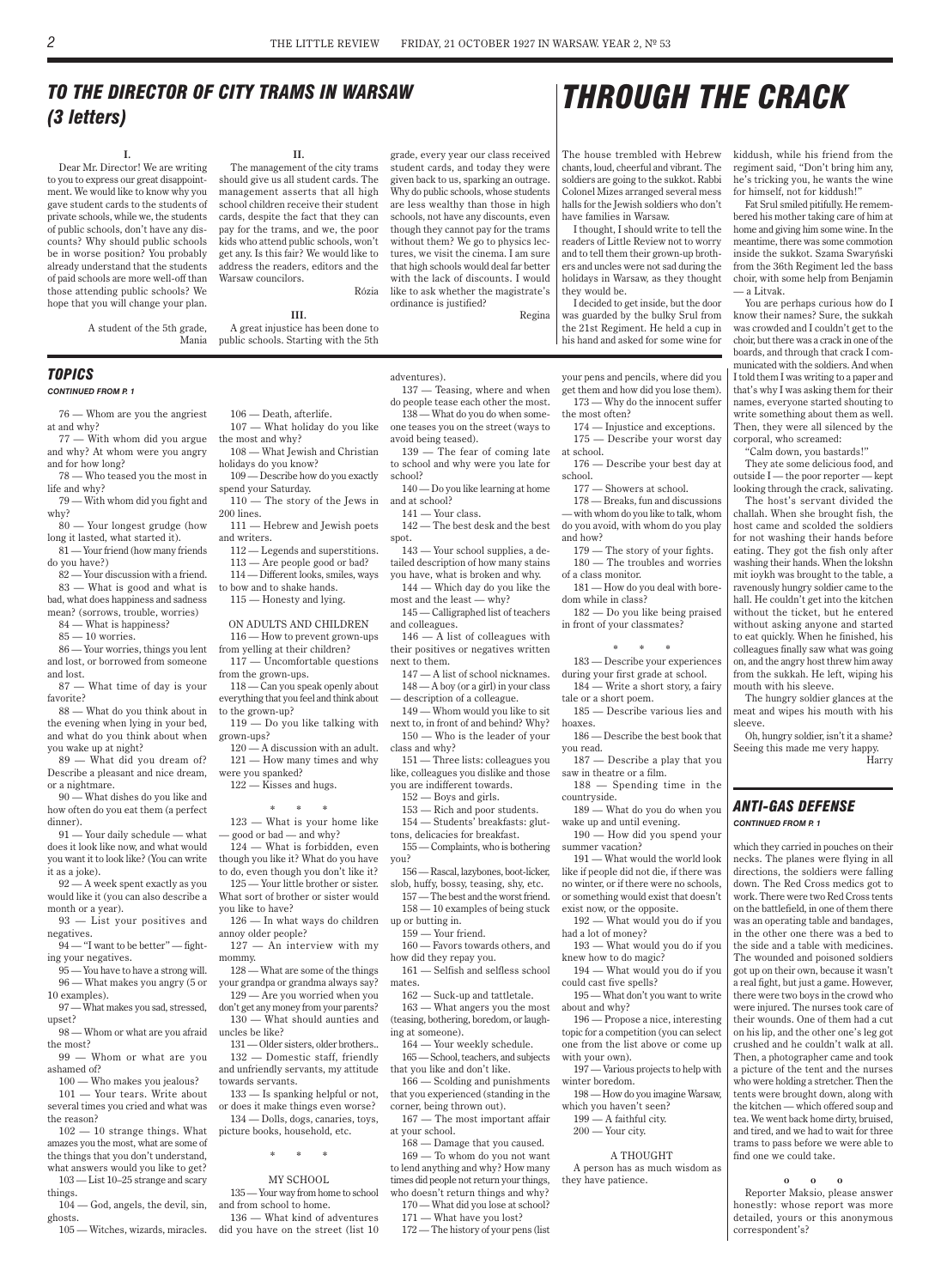76 — Whom are you the angriest at and why?

77 — With whom did you argue and why? At whom were you angry and for how long?

78 — Who teased you the most in life and why?

79 — With whom did you fight and why?

80 — Your longest grudge (how long it lasted, what started it).

81 — Your friend (how many friends do you have?)

82 — Your discussion with a friend. 83 — What is good and what is bad, what does happiness and sadness mean? (sorrows, trouble, worries)

84 — What is happiness?

 $85 - 10$  worries.

86 — Your worries, things you lent and lost, or borrowed from someone and lost.

87 — What time of day is your favorite?

88 — What do you think about in the evening when lying in your bed, and what do you think about when you wake up at night?

89 — What did you dream of? Describe a pleasant and nice dream, or a nightmare.

90 — What dishes do you like and how often do you eat them (a perfect dinner).

91 — Your daily schedule — what does it look like now, and what would you want it to look like? (You can write it as a joke).

92 — A week spent exactly as you would like it (you can also describe a month or a year).

93 — List your positives and negatives.

94 — "I want to be better" — fighting your negatives.

95 — You have to have a strong will.

120 — A discussion with an adult. 121 — How many times and why

96 — What makes you angry (5 or 10 examples).

97 — What makes you sad, stressed, upset?

98 — Whom or what are you afraid the most?

99 — Whom or what are you ashamed of?

100 — Who makes you jealous?

101 — Your tears. Write about several times you cried and what was the reason?

102 — 10 strange things. What amazes you the most, what are some of the things that you don't understand, what answers would you like to get?

103 — List 10–25 strange and scary things.

104 — God, angels, the devil, sin, ghosts.

105 — Witches, wizards, miracles.

106 — Death, afterlife. 107 — What holiday do you like

the most and why? 108 — What Jewish and Christian holidays do you know?

109 — Describe how do you exactly

spend your Saturday. 110 — The story of the Jews in 200 lines.

111 — Hebrew and Jewish poets and writers.

112 — Legends and superstitions.

- 113 Are people good or bad?
- 114 Different looks, smiles, ways to bow and to shake hands.

115 — Honesty and lying.

### ON ADULTS AND CHILDREN

116 — How to prevent grown-ups from yelling at their children?

117 — Uncomfortable questions from the grown-ups.

118 — Can you speak openly about everything that you feel and think about to the grown-up?

119 — Do you like talking with next to, in front of and behind? Why? grown-ups?

were you spanked?

122 — Kisses and hugs.

### **\* \* \***

123 — What is your home like — good or bad — and why? 124 — What is forbidden, even

though you like it? What do you have to do, even though you don't like it?

125 — Your little brother or sister. What sort of brother or sister would you like to have?

126 — In what ways do children up or butting in. annoy older people?

127 — An interview with my mommy.

> 128 — What are some of the things your grandpa or grandma always say? 129 — Are you worried when you don't get any money from your parents? 130 — What should aunties and

uncles be like?

131 — Older sisters, older brothers.. 132 — Domestic staff, friendly and unfriendly servants, my attitude towards servants.

133 — Is spanking helpful or not, or does it make things even worse? 134 — Dolls, dogs, canaries, toys, picture books, household, etc.

**\* \* \***

#### MY SCHOOL

135 —Your way from home to school and from school to home.

136 — What kind of adventures did you have on the street (list 10 adventures).

137 — Teasing, where and when do people tease each other the most. 138 — What do you do when someone teases you on the street (ways to

avoid being teased).

139 — The fear of coming late to school and why were you late for

school?

140 — Do you like learning at home

and at school?

142 — The best desk and the best

spot.

143 — Your school supplies, a detailed description of how many stains you have, what is broken and why. 144 — Which day do you like the

most and the least — why?

and colleagues.

145 — Calligraphed list of teachers 146 — A list of colleagues with their positives or negatives written

next to them.

147 — A list of school nicknames. 148 — A boy (or a girl) in your class — description of a colleague.

149 — Whom would you like to sit

150 — Who is the leader of your class and why?

151 — Three lists: colleagues you like, colleagues you dislike and those you are indifferent towards.

152 — Boys and girls.

153 — Rich and poor students.

154 — Students' breakfasts: gluttons, delicacies for breakfast.

155 — Complaints, who is bothering you?

156 —Rascal, lazybones, boot-licker, slob, huffy, bossy, teasing, shy, etc.

157 —The best and the worst friend. 158 — 10 examples of being stuck

159 — Your friend.

160 — Favors towards others, and how did they repay you.

161 — Selfish and selfless school mates.

162 — Suck-up and tattletale. 163 — What angers you the most (teasing, bothering, boredom, or laughing at someone).

164 — Your weekly schedule. 165 — School, teachers, and subjects that you like and don't like.

166 — Scolding and punishments that you experienced (standing in the corner, being thrown out).

167 — The most important affair at your school.

168 — Damage that you caused. 169 — To whom do you not want to lend anything and why? How many times did people not return your things, who doesn't return things and why? 170 — What did you lose at school?

171 — What have you lost?

172 — The history of your pens (list

your pens and pencils, where did you get them and how did you lose them). 173 — Why do the innocent suffer

the most often? 174 — Injustice and exceptions.

175 — Describe your worst day at school.

176 — Describe your best day at school.

177 — Showers at school.

178 — Breaks, fun and discussions

— with whom do you like to talk, whom do you avoid, with whom do you play and how?

179 — The story of your fights.

180 — The troubles and worries of a class monitor.

181 — How do you deal with boredom while in class?

182 — Do you like being praised in front of your classmates?

#### **\* \* \***

183 — Describe your experiences during your first grade at school.

184 — Write a short story, a fairy tale or a short poem.

185 — Describe various lies and hoaxes.

186 — Describe the best book that you read.

187 — Describe a play that you saw in theatre or a film.

188 — Spending time in the countryside.

189 — What do you do when you wake up and until evening.

190 — How did you spend your summer vacation?

191 — What would the world look like if people did not die, if there was no winter, or if there were no schools, or something would exist that doesn't exist now, or the opposite.

192 — What would you do if you had a lot of money?

193 — What would you do if you knew how to do magic?

194 — What would you do if you could cast five spells?

195 — What don't you want to write about and why?

196 — Propose a nice, interesting topic for a competition (you can select one from the list above or come up with your own).

197 — Various projects to help with winter boredom.

198 — How do you imagine Warsaw, which you haven't seen? 199 — A faithful city. 200 — Your city.

A THOUGHT A person has as much wisdom as they have patience.

### *topics*

*CONTINUED FROM P. 1*

which they carried in pouches on their necks. The planes were flying in all directions, the soldiers were falling down. The Red Cross medics got to work. There were two Red Cross tents on the battlefield, in one of them there was an operating table and bandages, in the other one there was a bed to the side and a table with medicines. The wounded and poisoned soldiers got up on their own, because it wasn't a real fight, but just a game. However, there were two boys in the crowd who were injured. The nurses took care of their wounds. One of them had a cut on his lip, and the other one's leg got crushed and he couldn't walk at all. Then, a photographer came and took a picture of the tent and the nurses who were holding a stretcher. Then the tents were brought down, along with the kitchen — which offered soup and tea. We went back home dirty, bruised, and tired, and we had to wait for three trams to pass before we were able to find one we could take.

**o o o** Reporter Maksio, please answer honestly: whose report was more detailed, yours or this anonymous correspondent's?

### *ANTI-GAS DEFENSE CONTINUED FROM P. 1*

**I.**

Dear Mr. Director! We are writing to you to express our great disappointment. We would like to know why you gave student cards to the students of private schools, while we, the students of public schools, don't have any discounts? Why should public schools be in worse position? You probably already understand that the students of paid schools are more well-off than those attending public schools? We hope that you will change your plan.

**II.**

The management of the city trams should give us all student cards. The management asserts that all high school children receive their student cards, despite the fact that they can pay for the trams, and we, the poor kids who attend public schools, won't get any. Is this fair? We would like to address the readers, editors and the Warsaw councilors.

A student of the 5th grade, Mania A great injustice has been done to public schools. Starting with the 5th

Rózia

**III.**

grade, every year our class received student cards, and today they were given back to us, sparking an outrage. Why do public schools, whose students are less wealthy than those in high schools, not have any discounts, even though they cannot pay for the trams without them? We go to physics lectures, we visit the cinema. I am sure that high schools would deal far better with the lack of discounts. I would like to ask whether the magistrate's

ordinance is justified?

141 — Your class.

Regina

### *To the director of city trams in Warsaw (3 letters)*

The house trembled with Hebrew chants, loud, cheerful and vibrant. The soldiers are going to the sukkot. Rabbi Colonel Mizes arranged several mess halls for the Jewish soldiers who don't have families in Warsaw.

I thought, I should write to tell the readers of Little Review not to worry and to tell them their grown-up brothers and uncles were not sad during the holidays in Warsaw, as they thought they would be.

I decided to get inside, but the door the 21st Regiment. He held a cup in his hand and asked for some wine for

kiddush, while his friend from the regiment said, "Don't bring him any, he's tricking you, he wants the wine for himself, not for kiddush!"

Fat Srul smiled pitifully. He remembered his mother taking care of him at home and giving him some wine. In the meantime, there was some commotion inside the sukkot. Szama Swaryński from the 36th Regiment led the bass choir, with some help from Benjamin — a Litvak.

was guarded by the bulky Srul from know their names? Sure, the sukkah You are perhaps curious how do I was crowded and I couldn't get to the choir, but there was a crack in one of the boards, and through that crack I communicated with the soldiers. And when I told them I was writing to a paper and that's why I was asking them for their names, everyone started shouting to write something about them as well. Then, they were all silenced by the corporal, who screamed:

"Calm down, you bastards!"

They ate some delicious food, and outside I — the poor reporter — kept looking through the crack, salivating.

The host's servant divided the challah. When she brought fish, the host came and scolded the soldiers for not washing their hands before eating. They got the fish only after washing their hands. When the lokshn mit ioykh was brought to the table, a ravenously hungry soldier came to the hall. He couldn't get into the kitchen without the ticket, but he entered without asking anyone and started to eat quickly. When he finished, his colleagues finally saw what was going on, and the angry host threw him away from the sukkah. He left, wiping his mouth with his sleeve.

The hungry soldier glances at the meat and wipes his mouth with his sleeve.

Oh, hungry soldier, isn't it a shame? Seeing this made me very happy. Harry

*Through the crack*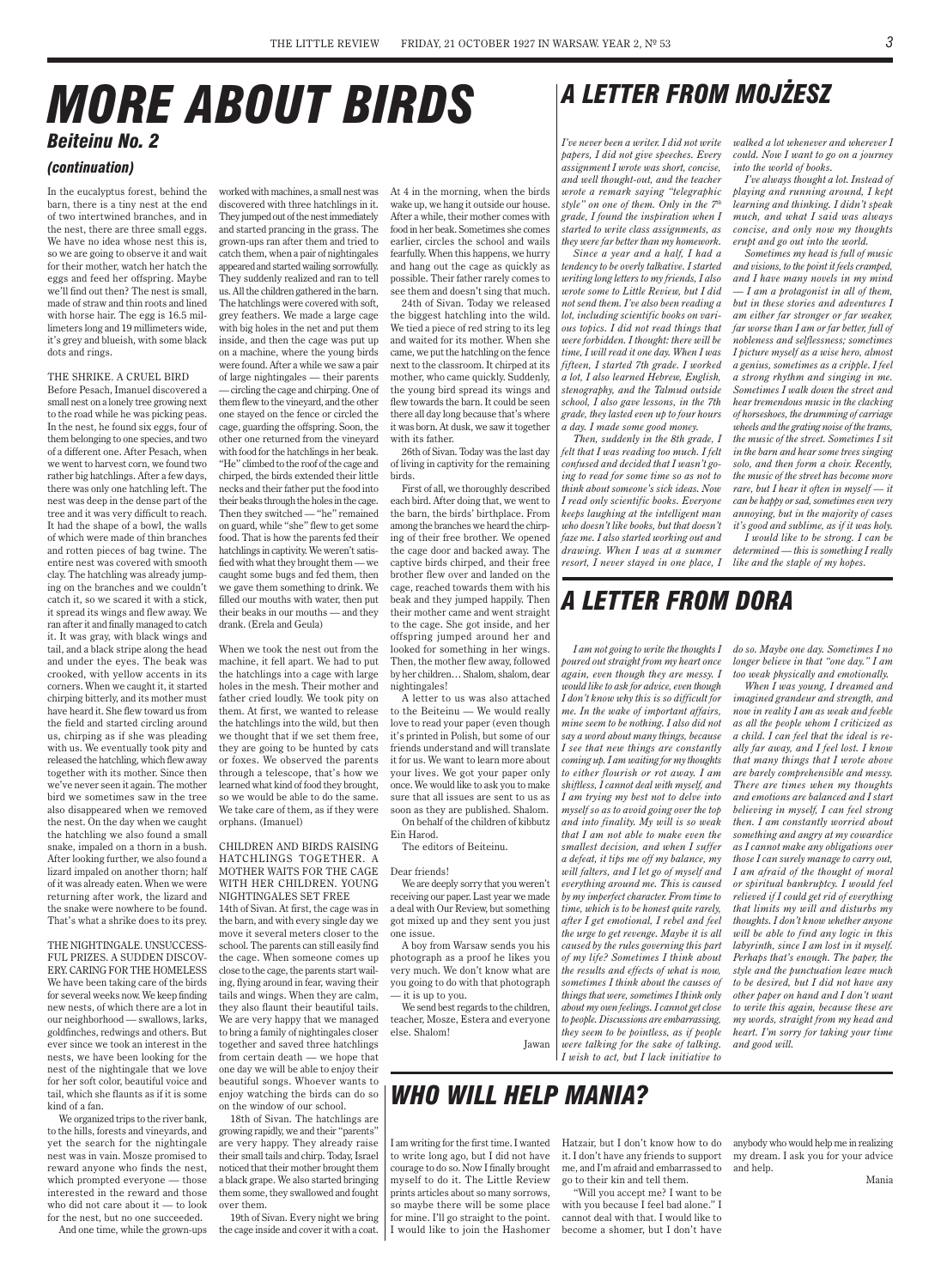In the eucalyptus forest, behind the barn, there is a tiny nest at the end of two intertwined branches, and in the nest, there are three small eggs. We have no idea whose nest this is, so we are going to observe it and wait for their mother, watch her hatch the eggs and feed her offspring. Maybe we'll find out then? The nest is small, made of straw and thin roots and lined with horse hair. The egg is 16.5 millimeters long and 19 millimeters wide, it's grey and blueish, with some black dots and rings.

#### THE SHRIKE. A CRUEL BIRD

Before Pesach, Imanuel discovered a small nest on a lonely tree growing next to the road while he was picking peas. In the nest, he found six eggs, four of them belonging to one species, and two of a different one. After Pesach, when we went to harvest corn, we found two rather big hatchlings. After a few days, there was only one hatchling left. The nest was deep in the dense part of the tree and it was very difficult to reach. It had the shape of a bowl, the walls of which were made of thin branches and rotten pieces of bag twine. The entire nest was covered with smooth clay. The hatchling was already jumping on the branches and we couldn't catch it, so we scared it with a stick, it spread its wings and flew away. We ran after it and finally managed to catch it. It was gray, with black wings and tail, and a black stripe along the head and under the eyes. The beak was crooked, with yellow accents in its corners. When we caught it, it started chirping bitterly, and its mother must have heard it. She flew toward us from the field and started circling around us, chirping as if she was pleading with us. We eventually took pity and released the hatchling, which flew away together with its mother. Since then we've never seen it again. The mother bird we sometimes saw in the tree also disappeared when we removed the nest. On the day when we caught the hatchling we also found a small snake, impaled on a thorn in a bush. After looking further, we also found a lizard impaled on another thorn; half of it was already eaten. When we were returning after work, the lizard and the snake were nowhere to be found. That's what a shrike does to its prey.

THE NIGHTINGALE. UNSUCCESS-FUL PRIZES. A SUDDEN DISCOV-ERY. CARING FOR THE HOMELESS We have been taking care of the birds for several weeks now. We keep finding new nests, of which there are a lot in our neighborhood — swallows, larks, goldfinches, redwings and others. But ever since we took an interest in the nests, we have been looking for the nest of the nightingale that we love for her soft color, beautiful voice and tail, which she flaunts as if it is some kind of a fan.

We organized trips to the river bank, to the hills, forests and vineyards, and yet the search for the nightingale nest was in vain. Mosze promised to reward anyone who finds the nest, which prompted everyone — those interested in the reward and those who did not care about it — to look for the nest, but no one succeeded.

And one time, while the grown-ups

worked with machines, a small nest was

discovered with three hatchlings in it. They jumped out of the nest immediately and started prancing in the grass. The grown-ups ran after them and tried to catch them, when a pair of nightingales appeared and started wailing sorrowfully. They suddenly realized and ran to tell us. All the children gathered in the barn. The hatchlings were covered with soft, grey feathers. We made a large cage with big holes in the net and put them inside, and then the cage was put up on a machine, where the young birds were found. After a while we saw a pair of large nightingales — their parents —circling the cage and chirping. One of them flew to the vineyard, and the other one stayed on the fence or circled the cage, guarding the offspring. Soon, the other one returned from the vineyard with food for the hatchlings in her beak. "He" climbed to the roof of the cage and chirped, the birds extended their little necks and their father put the food into their beaks through the holes in the cage. Then they switched — "he" remained on guard, while "she" flew to get some food. That is how the parents fed their hatchlings in captivity. We weren't satisfied with what they brought them —we caught some bugs and fed them, then we gave them something to drink. We filled our mouths with water, then put their beaks in our mouths — and they drank. (Erela and Geula)

When we took the nest out from the machine, it fell apart. We had to put the hatchlings into a cage with large holes in the mesh. Their mother and father cried loudly. We took pity on them. At first, we wanted to release the hatchlings into the wild, but then we thought that if we set them free, they are going to be hunted by cats or foxes. We observed the parents through a telescope, that's how we learned what kind of food they brought, so we would be able to do the same. We take care of them, as if they were orphans. (Imanuel)

#### CHILDREN AND BIRDS RAISING HATCHLINGS TOGETHER. A MOTHER WAITS FOR THE CAGE WITH HER CHILDREN. YOUNG NIGHTINGALES SET FREE

14th of Sivan. At first, the cage was in the barn, and with every single day we move it several meters closer to the school. The parents can still easily find the cage. When someone comes up close to the cage, the parents start wailing, flying around in fear, waving their tails and wings. When they are calm, they also flaunt their beautiful tails. We are very happy that we managed to bring a family of nightingales closer together and saved three hatchlings from certain death — we hope that one day we will be able to enjoy their beautiful songs. Whoever wants to enjoy watching the birds can do so on the window of our school. 18th of Sivan. The hatchlings are growing rapidly, we and their "parents" are very happy. They already raise their small tails and chirp. Today, Israel noticed that their mother brought them a black grape. We also started bringing them some, they swallowed and fought over them.

19th of Sivan. Every night we bring the cage inside and cover it with a coat.

## *More about birds Beiteinu No. 2*

### *(continuation)*

*I've never been a writer. I did not write papers, I did not give speeches. Every assignment I wrote was short, concise, and well thought-out, and the teacher wrote a remark saying "telegraphic style" on one of them. Only in the 7th grade, I found the inspiration when I started to write class assignments, as they were far better than my homework.*

*Since a year and a half, I had a tendency to be overly talkative. I started writing long letters to my friends, I also wrote some to Little Review, but I did not send them. I've also been reading a lot, including scientific books on various topics. I did not read things that were forbidden. I thought: there will be time, I will read it one day. When I was fifteen, I started 7th grade. I worked a lot, I also learned Hebrew, English, stenography, and the Talmud outside school, I also gave lessons, in the 7th grade, they lasted even up to four hours a day. I made some good money.*

*Then, suddenly in the 8th grade, I felt that I was reading too much. I felt confused and decided that I wasn't going to read for some time so as not to think about someone's sick ideas. Now I read only scientific books. Everyone keeps laughing at the intelligent man who doesn't like books, but that doesn't faze me. I also started working out and drawing. When I was at a summer resort, I never stayed in one place, I*  *walked a lot whenever and wherever I could. Now I want to go on a journey into the world of books.*

*I've always thought a lot. Instead of playing and running around, I kept learning and thinking. I didn't speak much, and what I said was always concise, and only now my thoughts erupt and go out into the world.*

*Sometimes my head is full of music and visions, to the point it feels cramped, and I have many novels in my mind — I am a protagonist in all of them, but in these stories and adventures I am either far stronger or far weaker, far worse than I am or far better, full of nobleness and selflessness; sometimes I picture myself as a wise hero, almost a genius, sometimes as a cripple. I feel a strong rhythm and singing in me. Sometimes I walk down the street and hear tremendous music in the clacking of horseshoes, the drumming of carriage wheels and the grating noise of the trams, the music of the street. Sometimes I sit in the barn and hear some trees singing solo, and then form a choir. Recently, the music of the street has become more rare, but I hear it often in myself — it can be happy or sad, sometimes even very annoying, but in the majority of cases it's good and sublime, as if it was holy.*

*I would like to be strong. I can be determined — this is something I really like and the staple of my hopes.*

*I am not going to write the thoughts I poured out straight from my heart once again, even though they are messy. I would like to ask for advice, even though I don't know why this is so difficult for me. In the wake of important affairs, mine seem to be nothing. I also did not say a word about many things, because I see that new things are constantly coming up. I am waiting for my thoughts to either flourish or rot away. I am shiftless, I cannot deal with myself, and I am trying my best not to delve into myself so as to avoid going over the top and into finality. My will is so weak that I am not able to make even the smallest decision, and when I suffer a defeat, it tips me off my balance, my will falters, and I let go of myself and everything around me. This is caused by my imperfect character. From time to time, which is to be honest quite rarely, after I get emotional, I rebel and feel the urge to get revenge. Maybe it is all caused by the rules governing this part of my life? Sometimes I think about the results and effects of what is now, sometimes I think about the causes of things that were, sometimes I think only about my own feelings. I cannot get close to people. Discussions are embarrassing, they seem to be pointless, as if people were talking for the sake of talking. I wish to act, but I lack initiative to* 

*do so. Maybe one day. Sometimes I no longer believe in that "one day." I am too weak physically and emotionally.*

*When I was young, I dreamed and imagined grandeur and strength, and now in reality I am as weak and feeble as all the people whom I criticized as a child. I can feel that the ideal is really far away, and I feel lost. I know that many things that I wrote above are barely comprehensible and messy. There are times when my thoughts and emotions are balanced and I start believing in myself, I can feel strong then. I am constantly worried about something and angry at my cowardice as I cannot make any obligations over those I can surely manage to carry out, I am afraid of the thought of moral or spiritual bankruptcy. I would feel relieved if I could get rid of everything that limits my will and disturbs my thoughts. I don't know whether anyone will be able to find any logic in this labyrinth, since I am lost in it myself. Perhaps that's enough. The paper, the style and the punctuation leave much to be desired, but I did not have any other paper on hand and I don't want to write this again, because these are my words, straight from my head and heart. I'm sorry for taking your time and good will.*

At 4 in the morning, when the birds wake up, we hang it outside our house. After a while, their mother comes with food in her beak. Sometimes she comes earlier, circles the school and wails fearfully. When this happens, we hurry and hang out the cage as quickly as possible. Their father rarely comes to see them and doesn't sing that much.

24th of Sivan. Today we released the biggest hatchling into the wild. We tied a piece of red string to its leg and waited for its mother. When she came, we put the hatchling on the fence next to the classroom. It chirped at its mother, who came quickly. Suddenly, the young bird spread its wings and flew towards the barn. It could be seen there all day long because that's where it was born. At dusk, we saw it together with its father.

26th of Sivan. Today was the last day of living in captivity for the remaining birds.

First of all, we thoroughly described each bird. After doing that, we went to the barn, the birds' birthplace. From among the branches we heard the chirping of their free brother. We opened the cage door and backed away. The captive birds chirped, and their free brother flew over and landed on the cage, reached towards them with his beak and they jumped happily. Then their mother came and went straight to the cage. She got inside, and her offspring jumped around her and looked for something in her wings. Then, the mother flew away, followed by her children… Shalom, shalom, dear nightingales!

A letter to us was also attached to the Beiteinu — We would really love to read your paper (even though it's printed in Polish, but some of our friends understand and will translate it for us. We want to learn more about your lives. We got your paper only once. We would like to ask you to make sure that all issues are sent to us as soon as they are published. Shalom. On behalf of the children of kibbutz

Ein Harod.

The editors of Beiteinu.

#### Dear friends!

We are deeply sorry that you weren't receiving our paper. Last year we made a deal with Our Review, but something got mixed up and they sent you just one issue.

A boy from Warsaw sends you his photograph as a proof he likes you very much. We don't know what are you going to do with that photograph — it is up to you.

We send best regards to the children, teacher, Mosze, Estera and everyone else. Shalom!

Jawan

### *A letter from Mojżesz*

### *A letter from dora*

I am writing for the first time. I wanted to write long ago, but I did not have courage to do so. Now I finally brought myself to do it. The Little Review prints articles about so many sorrows, so maybe there will be some place for mine. I'll go straight to the point. I would like to join the Hashomer Hatzair, but I don't know how to do it. I don't have any friends to support me, and I'm afraid and embarrassed to go to their kin and tell them.

"Will you accept me? I want to be with you because I feel bad alone." I cannot deal with that. I would like to become a shomer, but I don't have anybody who would help me in realizing my dream. I ask you for your advice and help.

Mania

### *Who will help Mania?*